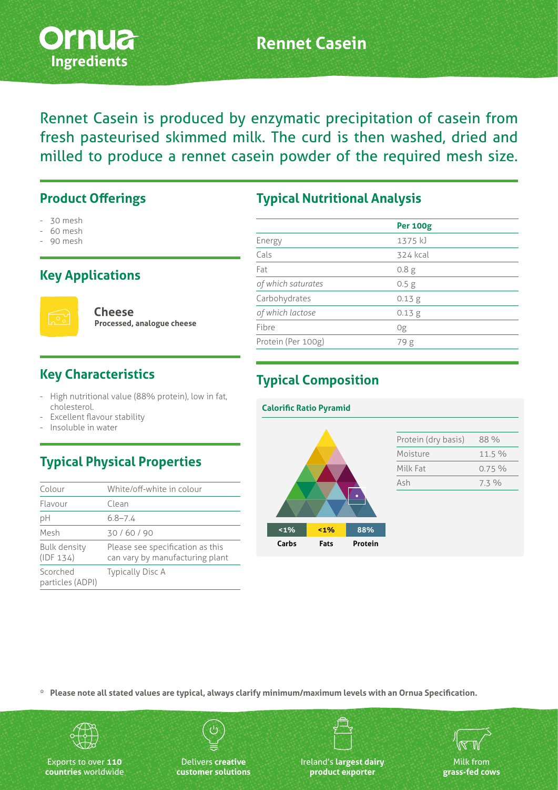

## **Rennet Casein**

Rennet Casein is produced by enzymatic precipitation of casein from fresh pasteurised skimmed milk. The curd is then washed, dried and milled to produce a rennet casein powder of the required mesh size.

#### **Product Offerings**

- 30 mesh
- 60 mesh
- 90 mesh

#### **Key Applications**



**Cheese Processed, analogue cheese**

#### **Key Characteristics**

- High nutritional value (88% protein), low in fat, cholesterol.
- Excellent flavour stability
- Insoluble in water

## **Typical Physical Properties**

| Colour                           | White/off-white in colour                                           |
|----------------------------------|---------------------------------------------------------------------|
| Flavour                          | Clean                                                               |
| рH                               | $6.8 - 7.4$                                                         |
| Mesh                             | 30/60/90                                                            |
| <b>Bulk density</b><br>(IDF 134) | Please see specification as this<br>can vary by manufacturing plant |
| Scorched<br>particles (ADPI)     | <b>Typically Disc A</b>                                             |

#### **Typical Nutritional Analysis**

|                    | <b>Per 100g</b>  |  |
|--------------------|------------------|--|
| Energy             | 1375 kJ          |  |
| Cals               | 324 kcal         |  |
| Fat                | 0.8 <sub>g</sub> |  |
| of which saturates | 0.5 <sub>g</sub> |  |
| Carbohydrates      | 0.13 g           |  |
| of which lactose   | 0.13 g           |  |
| Fibre              | 0g               |  |
| Protein (Per 100g) | 79g              |  |
|                    |                  |  |

#### **Typical Composition**



**\* Please note all stated values are typical, always clarify minimum/maximum levels with an Ornua Specification.**



Exports to over **110 countries** worldwide

Delivers **creative customer solutions** Ireland's **largest dairy product exporter**